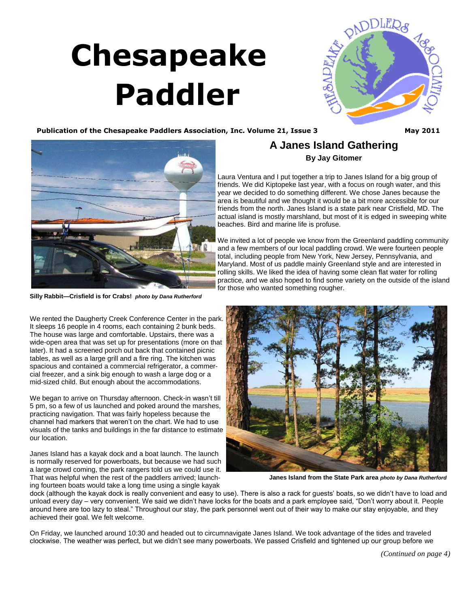# <span id="page-0-0"></span> **Chesapeake Paddler**



#### **Publication of the Chesapeake Paddlers Association, Inc. Volume 21, Issue 3 May 2011**



**Silly Rabbit—Crisfield is for Crabs!** *photo by Dana Rutherford*

We rented the Daugherty Creek Conference Center in the park. It sleeps 16 people in 4 rooms, each containing 2 bunk beds. The house was large and comfortable. Upstairs, there was a wide-open area that was set up for presentations (more on that later). It had a screened porch out back that contained picnic tables, as well as a large grill and a fire ring. The kitchen was spacious and contained a commercial refrigerator, a commercial freezer, and a sink big enough to wash a large dog or a mid-sized child. But enough about the accommodations.

We began to arrive on Thursday afternoon. Check-in wasn't till 5 pm, so a few of us launched and poked around the marshes, practicing navigation. That was fairly hopeless because the channel had markers that weren't on the chart. We had to use visuals of the tanks and buildings in the far distance to estimate our location.

Janes Island has a kayak dock and a boat launch. The launch is normally reserved for powerboats, but because we had such a large crowd coming, the park rangers told us we could use it. That was helpful when the rest of the paddlers arrived; launching fourteen boats would take a long time using a single kayak

### **A Janes Island Gathering By Jay Gitomer**

Laura Ventura and I put together a trip to Janes Island for a big group of friends. We did Kiptopeke last year, with a focus on rough water, and this year we decided to do something different. We chose Janes because the area is beautiful and we thought it would be a bit more accessible for our friends from the north. Janes Island is a state park near Crisfield, MD. The actual island is mostly marshland, but most of it is edged in sweeping white beaches. Bird and marine life is profuse.

We invited a lot of people we know from the Greenland paddling community and a few members of our local paddling crowd. We were fourteen people total, including people from New York, New Jersey, Pennsylvania, and Maryland. Most of us paddle mainly Greenland style and are interested in rolling skills. We liked the idea of having some clean flat water for rolling practice, and we also hoped to find some variety on the outside of the island for those who wanted something rougher.



**Janes Island from the State Park area** *photo by Dana Rutherford*

dock (although the kayak dock is really convenient and easy to use). There is also a rack for guests' boats, so we didn't have to load and unload every day – very convenient. We said we didn't have locks for the boats and a park employee said, "Don't worry about it. People around here are too lazy to steal." Throughout our stay, the park personnel went out of their way to make our stay enjoyable, and they achieved their goal. We felt welcome.

On Friday, we launched around 10:30 and headed out to circumnavigate Janes Island. We took advantage of the tides and traveled clockwise. The weather was perfect, but we didn't see many powerboats. We passed Crisfield and tightened up our group before we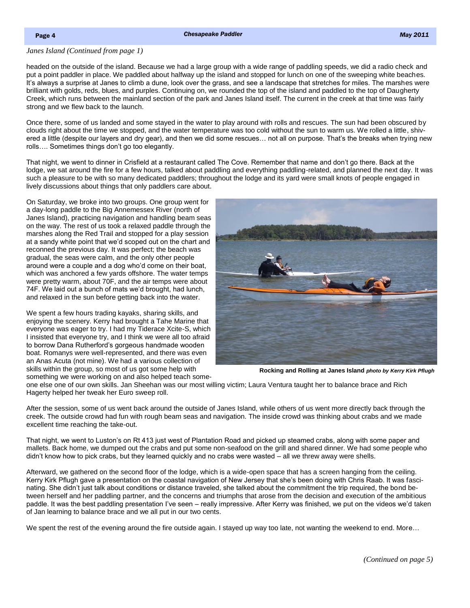#### <span id="page-1-0"></span>*[Janes Island \(Continued from page 1\)](#page-0-0)*

headed on the outside of the island. Because we had a large group with a wide range of paddling speeds, we did a radio check and put a point paddler in place. We paddled about halfway up the island and stopped for lunch on one of the sweeping white beaches. It's always a surprise at Janes to climb a dune, look over the grass, and see a landscape that stretches for miles. The marshes were brilliant with golds, reds, blues, and purples. Continuing on, we rounded the top of the island and paddled to the top of Daugherty Creek, which runs between the mainland section of the park and Janes Island itself. The current in the creek at that time was fairly strong and we flew back to the launch.

Once there, some of us landed and some stayed in the water to play around with rolls and rescues. The sun had been obscured by clouds right about the time we stopped, and the water temperature was too cold without the sun to warm us. We rolled a little, shivered a little (despite our layers and dry gear), and then we did some rescues… not all on purpose. That's the breaks when trying new rolls…. Sometimes things don't go too elegantly.

That night, we went to dinner in Crisfield at a restaurant called The Cove. Remember that name and don't go there. Back at the lodge, we sat around the fire for a few hours, talked about paddling and everything paddling-related, and planned the next day. It was such a pleasure to be with so many dedicated paddlers; throughout the lodge and its yard were small knots of people engaged in lively discussions about things that only paddlers care about.

On Saturday, we broke into two groups. One group went for a day-long paddle to the Big Annemessex River (north of Janes Island), practicing navigation and handling beam seas on the way. The rest of us took a relaxed paddle through the marshes along the Red Trail and stopped for a play session at a sandy white point that we'd scoped out on the chart and reconned the previous day. It was perfect; the beach was gradual, the seas were calm, and the only other people around were a couple and a dog who'd come on their boat, which was anchored a few yards offshore. The water temps were pretty warm, about 70F, and the air temps were about 74F. We laid out a bunch of mats we'd brought, had lunch, and relaxed in the sun before getting back into the water.

We spent a few hours trading kayaks, sharing skills, and enjoying the scenery. Kerry had brought a Tahe Marine that everyone was eager to try. I had my Tiderace Xcite-S, which I insisted that everyone try, and I think we were all too afraid to borrow Dana Rutherford's gorgeous handmade wooden boat. Romanys were well-represented, and there was even an Anas Acuta (not mine). We had a various collection of skills within the group, so most of us got some help with something we were working on and also helped teach some-



**Rocking and Rolling at Janes Island** *photo by Kerry Kirk Pflugh*

one else one of our own skills. Jan Sheehan was our most willing victim; Laura Ventura taught her to balance brace and Rich Hagerty helped her tweak her Euro sweep roll.

After the session, some of us went back around the outside of Janes Island, while others of us went more directly back through the creek. The outside crowd had fun with rough beam seas and navigation. The inside crowd was thinking about crabs and we made excellent time reaching the take-out.

That night, we went to Luston's on Rt 413 just west of Plantation Road and picked up steamed crabs, along with some paper and mallets. Back home, we dumped out the crabs and put some non-seafood on the grill and shared dinner. We had some people who didn't know how to pick crabs, but they learned quickly and no crabs were wasted – all we threw away were shells.

Afterward, we gathered on the second floor of the lodge, which is a wide-open space that has a screen hanging from the ceiling. Kerry Kirk Pflugh gave a presentation on the coastal navigation of New Jersey that she's been doing with Chris Raab. It was fascinating. She didn't just talk about conditions or distance traveled, she talked about the commitment the trip required, the bond between herself and her paddling partner, and the concerns and triumphs that arose from the decision and execution of the ambitious paddle. It was the best paddling presentation I've seen – really impressive. After Kerry was finished, we put on the videos we'd taken of Jan learning to balance brace and we all put in our two cents.

We spent the rest of the evening around the fire outside again. I stayed up way too late, not wanting the weekend to end. More...